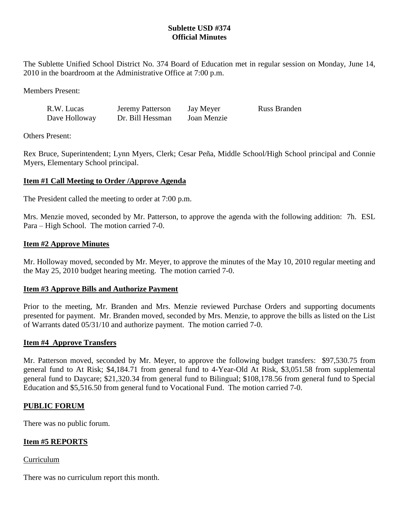# **Sublette USD #374 Official Minutes**

The Sublette Unified School District No. 374 Board of Education met in regular session on Monday, June 14, 2010 in the boardroom at the Administrative Office at 7:00 p.m.

Members Present:

| R.W. Lucas    | <b>Jeremy Patterson</b> | Jay Meyer   | Russ Branden |
|---------------|-------------------------|-------------|--------------|
| Dave Holloway | Dr. Bill Hessman        | Joan Menzie |              |

Others Present:

Rex Bruce, Superintendent; Lynn Myers, Clerk; Cesar Peña, Middle School/High School principal and Connie Myers, Elementary School principal.

# **Item #1 Call Meeting to Order /Approve Agenda**

The President called the meeting to order at 7:00 p.m.

Mrs. Menzie moved, seconded by Mr. Patterson, to approve the agenda with the following addition: 7h. ESL Para – High School. The motion carried 7-0.

#### **Item #2 Approve Minutes**

Mr. Holloway moved, seconded by Mr. Meyer, to approve the minutes of the May 10, 2010 regular meeting and the May 25, 2010 budget hearing meeting. The motion carried 7-0.

# **Item #3 Approve Bills and Authorize Payment**

Prior to the meeting, Mr. Branden and Mrs. Menzie reviewed Purchase Orders and supporting documents presented for payment. Mr. Branden moved, seconded by Mrs. Menzie, to approve the bills as listed on the List of Warrants dated 05/31/10 and authorize payment. The motion carried 7-0.

#### **Item #4 Approve Transfers**

Mr. Patterson moved, seconded by Mr. Meyer, to approve the following budget transfers: \$97,530.75 from general fund to At Risk; \$4,184.71 from general fund to 4-Year-Old At Risk, \$3,051.58 from supplemental general fund to Daycare; \$21,320.34 from general fund to Bilingual; \$108,178.56 from general fund to Special Education and \$5,516.50 from general fund to Vocational Fund. The motion carried 7-0.

# **PUBLIC FORUM**

There was no public forum.

# **Item #5 REPORTS**

#### Curriculum

There was no curriculum report this month.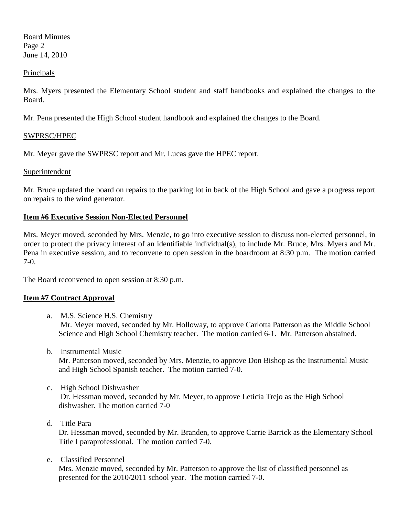Board Minutes Page 2 June 14, 2010

#### Principals

Mrs. Myers presented the Elementary School student and staff handbooks and explained the changes to the Board.

Mr. Pena presented the High School student handbook and explained the changes to the Board.

# SWPRSC/HPEC

Mr. Meyer gave the SWPRSC report and Mr. Lucas gave the HPEC report.

# **Superintendent**

Mr. Bruce updated the board on repairs to the parking lot in back of the High School and gave a progress report on repairs to the wind generator.

# **Item #6 Executive Session Non-Elected Personnel**

Mrs. Meyer moved, seconded by Mrs. Menzie, to go into executive session to discuss non-elected personnel, in order to protect the privacy interest of an identifiable individual(s), to include Mr. Bruce, Mrs. Myers and Mr. Pena in executive session, and to reconvene to open session in the boardroom at 8:30 p.m. The motion carried 7-0.

The Board reconvened to open session at 8:30 p.m.

# **Item #7 Contract Approval**

- a. M.S. Science H.S. Chemistry Mr. Meyer moved, seconded by Mr. Holloway, to approve Carlotta Patterson as the Middle School Science and High School Chemistry teacher. The motion carried 6-1. Mr. Patterson abstained.
- b. Instrumental Music Mr. Patterson moved, seconded by Mrs. Menzie, to approve Don Bishop as the Instrumental Music and High School Spanish teacher. The motion carried 7-0.
- c. High School Dishwasher Dr. Hessman moved, seconded by Mr. Meyer, to approve Leticia Trejo as the High School dishwasher. The motion carried 7-0
- d. Title Para

Dr. Hessman moved, seconded by Mr. Branden, to approve Carrie Barrick as the Elementary School Title I paraprofessional. The motion carried 7-0.

e. Classified Personnel

Mrs. Menzie moved, seconded by Mr. Patterson to approve the list of classified personnel as presented for the 2010/2011 school year. The motion carried 7-0.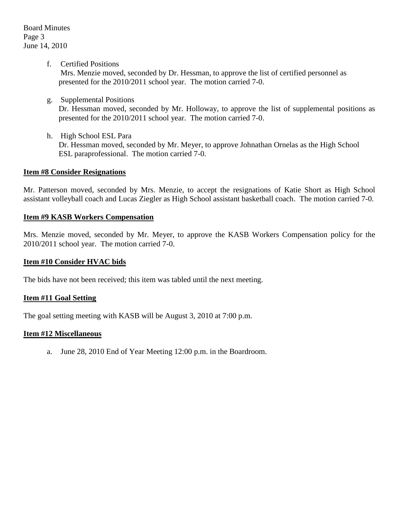f. Certified Positions

Mrs. Menzie moved, seconded by Dr. Hessman, to approve the list of certified personnel as presented for the 2010/2011 school year. The motion carried 7-0.

g. Supplemental Positions

Dr. Hessman moved, seconded by Mr. Holloway, to approve the list of supplemental positions as presented for the 2010/2011 school year. The motion carried 7-0.

h. High School ESL Para Dr. Hessman moved, seconded by Mr. Meyer, to approve Johnathan Ornelas as the High School ESL paraprofessional. The motion carried 7-0.

#### **Item #8 Consider Resignations**

Mr. Patterson moved, seconded by Mrs. Menzie, to accept the resignations of Katie Short as High School assistant volleyball coach and Lucas Ziegler as High School assistant basketball coach. The motion carried 7-0.

#### **Item #9 KASB Workers Compensation**

Mrs. Menzie moved, seconded by Mr. Meyer, to approve the KASB Workers Compensation policy for the 2010/2011 school year. The motion carried 7-0.

#### **Item #10 Consider HVAC bids**

The bids have not been received; this item was tabled until the next meeting.

#### **Item #11 Goal Setting**

The goal setting meeting with KASB will be August 3, 2010 at 7:00 p.m.

#### **Item #12 Miscellaneous**

a. June 28, 2010 End of Year Meeting 12:00 p.m. in the Boardroom.